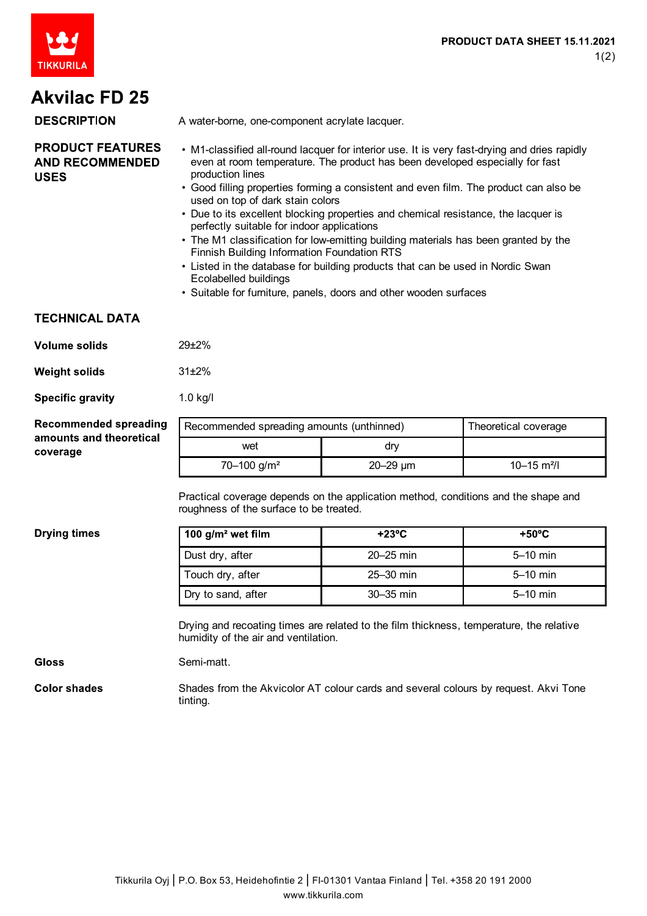

## **Akvilac FD 25**

| <b>DESCRIPTION</b>                                               | A water-borne, one-component acrylate lacquer.                                                                                                                                                                                                                                                                                |
|------------------------------------------------------------------|-------------------------------------------------------------------------------------------------------------------------------------------------------------------------------------------------------------------------------------------------------------------------------------------------------------------------------|
| <b>PRODUCT FEATURES</b><br><b>AND RECOMMENDED</b><br><b>USES</b> | • M1-classified all-round lacquer for interior use. It is very fast-drying and dries rapidly<br>even at room temperature. The product has been developed especially for fast<br>production lines<br>• Good filling properties forming a consistent and even film. The product can also be<br>used on top of dark stain colors |
|                                                                  | • Due to its excellent blocking properties and chemical resistance, the lacquer is<br>perfectly suitable for indoor applications<br>• The M1 classification for low-emitting building materials has been granted by the                                                                                                       |
|                                                                  | Finnish Building Information Foundation RTS<br>I jeted in the detabase for building products that can be used in Nordic Swap                                                                                                                                                                                                  |

- Listed in the database for building products that can be used in Nordic Swan Ecolabelled buildings
- Suitable for furniture, panels, doors and other wooden surfaces

## **TECHNICAL DATA**

| Volume solids | $29 + 2%$  |
|---------------|------------|
| Weight solids | $31\pm2\%$ |

**Specific gravity** 1.0 kg/l

| <b>Recommended spreading</b> |
|------------------------------|
| amounts and theoretical      |
| coverage                     |

| Recommended spreading amounts (unthinned) |                 | Theoretical coverage        |
|-------------------------------------------|-----------------|-----------------------------|
| wet                                       | drv             |                             |
| $70 - 100$ g/m <sup>2</sup>               | $20 - 29 \mu m$ | $10 - 15$ m <sup>2</sup> /l |

Practical coverage depends on the application method, conditions and the shape and roughness of the surface to be treated.

**Drying times** 

| 100 $g/m^2$ wet film | $+23^{\circ}$ C | $+50^{\circ}$ C |
|----------------------|-----------------|-----------------|
| Dust dry, after      | $20 - 25$ min   | $5-10$ min      |
| Touch dry, after     | $25 - 30$ min   | $5-10$ min      |
| Dry to sand, after   | $30-35$ min     | $5-10$ min      |

Drying and recoating times are related to the film thickness, temperature, the relative humidity of the air and ventilation.

**Gloss** Semi-matt.

**Color shades** Shades from the Akvicolor AT colour cards and several colours by request. Akvi Tone tinting.